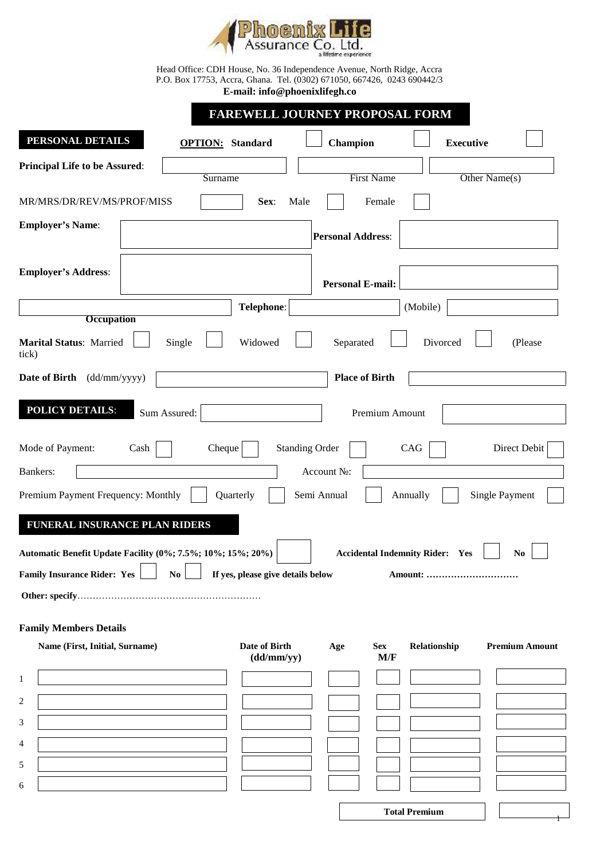

Head Office: CDH House, No. 36 Independence Avenue, North Ridge, Accra P.O. Box 17753, Accra, Ghana. Tel. (0302) 671050, 667426, 0243 690442/3 **E-mail: info@phoenixlifegh.co**

|                                                             | <b>FAREWELL JOURNEY PROPOSAL FORM</b>               |                                        |                  |                       |  |  |  |  |
|-------------------------------------------------------------|-----------------------------------------------------|----------------------------------------|------------------|-----------------------|--|--|--|--|
| PERSONAL DETAILS                                            | <b>OPTION:</b> Standard                             | Champion                               | <b>Executive</b> |                       |  |  |  |  |
| <b>Principal Life to be Assured:</b>                        | Surname                                             | <b>First Name</b>                      |                  | Other Name(s)         |  |  |  |  |
| MR/MRS/DR/REV/MS/PROF/MISS                                  | Male<br>Sex:                                        | Female                                 |                  |                       |  |  |  |  |
| <b>Employer's Name:</b>                                     |                                                     | <b>Personal Address:</b>               |                  |                       |  |  |  |  |
| <b>Employer's Address:</b>                                  |                                                     |                                        |                  |                       |  |  |  |  |
|                                                             | <b>Personal E-mail:</b>                             |                                        |                  |                       |  |  |  |  |
| <b>Occupation</b>                                           | Telephone:                                          |                                        | (Mobile)         |                       |  |  |  |  |
| <b>Marital Status: Married</b><br>tick)                     | Widowed<br>Single                                   | Separated                              | Divorced         | (Please               |  |  |  |  |
| Date of Birth<br>(dd/mm/yyyy)                               |                                                     | <b>Place of Birth</b>                  |                  |                       |  |  |  |  |
| <b>POLICY DETAILS:</b>                                      | Sum Assured:                                        | Premium Amount                         |                  |                       |  |  |  |  |
| Mode of Payment:<br>Cash                                    | Cheque                                              | <b>Standing Order</b>                  | CAG              | Direct Debit          |  |  |  |  |
| Bankers:                                                    |                                                     | Account                                |                  |                       |  |  |  |  |
| Premium Payment Frequency: Monthly                          | Quarterly                                           | Semi Annual                            | Annually         | Single Payment        |  |  |  |  |
| FUNERAL INSURANCE PLAN RIDERS                               |                                                     |                                        |                  |                       |  |  |  |  |
| Automatic Benefit Update Facility (0%; 7.5%; 10%; 15%; 20%) | $\overline{\phantom{0}}$                            | <b>Accidental Indemnity Rider: Yes</b> |                  | N <sub>0</sub>        |  |  |  |  |
| <b>Family Insurance Rider: Yes</b>                          | If yes, please give details below<br>N <sub>0</sub> |                                        | Amount:          |                       |  |  |  |  |
|                                                             |                                                     |                                        |                  |                       |  |  |  |  |
| <b>Family Members Details</b>                               |                                                     |                                        |                  |                       |  |  |  |  |
| Name (First, Initial, Surname)                              | Date of Birth<br>(dd/mm/yy)                         | <b>Sex</b><br>Age<br>M/F               | Relationship     | <b>Premium Amount</b> |  |  |  |  |
|                                                             |                                                     |                                        |                  |                       |  |  |  |  |
|                                                             |                                                     |                                        |                  |                       |  |  |  |  |
|                                                             |                                                     |                                        |                  |                       |  |  |  |  |
|                                                             |                                                     |                                        |                  |                       |  |  |  |  |
|                                                             |                                                     |                                        |                  |                       |  |  |  |  |
| 1<br>2<br>3<br>4<br>5<br>6                                  |                                                     |                                        |                  |                       |  |  |  |  |